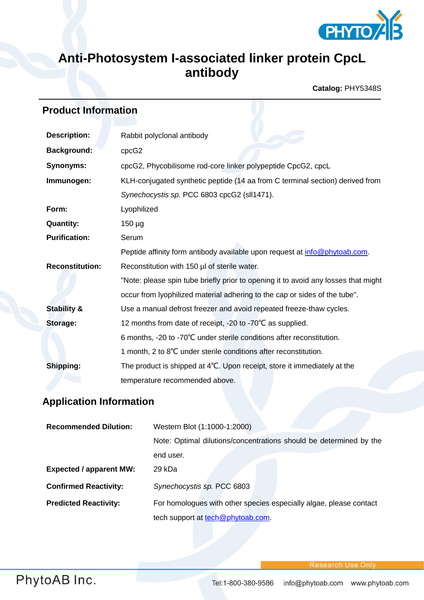

## **Anti-Photosystem I-associated linker protein CpcL antibody**

**Catalog:** PHY5348S

## **Product Information**

| <b>Description:</b>    | Rabbit polyclonal antibody                                                         |  |
|------------------------|------------------------------------------------------------------------------------|--|
| <b>Background:</b>     | cpcG2                                                                              |  |
| <b>Synonyms:</b>       | cpcG2, Phycobilisome rod-core linker polypeptide CpcG2, cpcL                       |  |
| Immunogen:             | KLH-conjugated synthetic peptide (14 aa from C terminal section) derived from      |  |
|                        | Synechocystis sp. PCC 6803 cpcG2 (sll1471).                                        |  |
| Form:                  | Lyophilized                                                                        |  |
| <b>Quantity:</b>       | $150 \mu g$                                                                        |  |
| <b>Purification:</b>   | Serum                                                                              |  |
|                        | Peptide affinity form antibody available upon request at info@phytoab.com.         |  |
| <b>Reconstitution:</b> | Reconstitution with 150 µl of sterile water.                                       |  |
|                        | "Note: please spin tube briefly prior to opening it to avoid any losses that might |  |
|                        | occur from Iyophilized material adhering to the cap or sides of the tube".         |  |
| <b>Stability &amp;</b> | Use a manual defrost freezer and avoid repeated freeze-thaw cycles.                |  |
| <b>Storage:</b>        | 12 months from date of receipt, -20 to -70°C as supplied.                          |  |
|                        | 6 months, -20 to -70°C under sterile conditions after reconstitution.              |  |
|                        | 1 month, 2 to 8°C under sterile conditions after reconstitution.                   |  |
| Shipping:              | The product is shipped at 4°C. Upon receipt, store it immediately at the           |  |
|                        | temperature recommended above.                                                     |  |

## **Application Information**

| <b>Recommended Dilution:</b>   | Western Blot (1:1000-1:2000)                                       |
|--------------------------------|--------------------------------------------------------------------|
|                                | Note: Optimal dilutions/concentrations should be determined by the |
|                                | end user.                                                          |
| <b>Expected / apparent MW:</b> | 29 kDa                                                             |
| <b>Confirmed Reactivity:</b>   | Synechocystis sp. PCC 6803                                         |
| <b>Predicted Reactivity:</b>   | For homologues with other species especially algae, please contact |
|                                | tech support at tech@phytoab.com.                                  |

**Research Use Only**